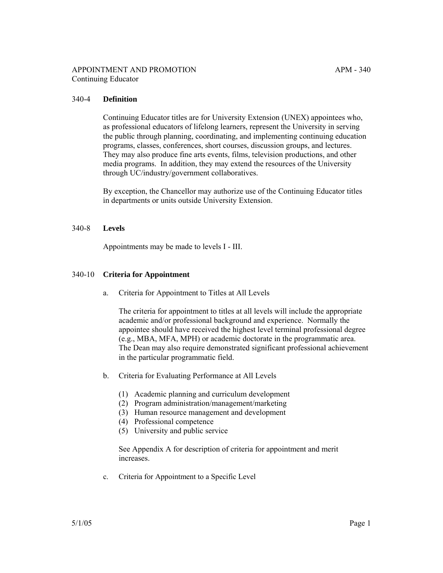# 340-4 **Definition**

Continuing Educator titles are for University Extension (UNEX) appointees who, as professional educators of lifelong learners, represent the University in serving the public through planning, coordinating, and implementing continuing education programs, classes, conferences, short courses, discussion groups, and lectures. They may also produce fine arts events, films, television productions, and other media programs. In addition, they may extend the resources of the University through UC/industry/government collaboratives.

By exception, the Chancellor may authorize use of the Continuing Educator titles in departments or units outside University Extension.

## 340-8 **Levels**

Appointments may be made to levels I - III.

## 340-10 **Criteria for Appointment**

a. Criteria for Appointment to Titles at All Levels

The criteria for appointment to titles at all levels will include the appropriate academic and/or professional background and experience. Normally the appointee should have received the highest level terminal professional degree (e.g., MBA, MFA, MPH) or academic doctorate in the programmatic area. The Dean may also require demonstrated significant professional achievement in the particular programmatic field.

- b. Criteria for Evaluating Performance at All Levels
	- (1) Academic planning and curriculum development
	- (2) Program administration/management/marketing
	- (3) Human resource management and development
	- (4) Professional competence
	- (5) University and public service

See Appendix A for description of criteria for appointment and merit increases.

c. Criteria for Appointment to a Specific Level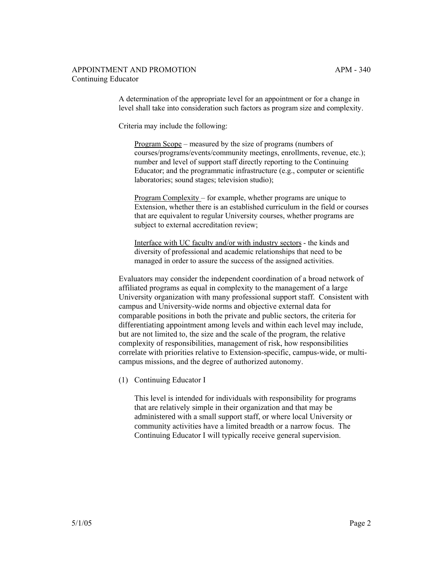A determination of the appropriate level for an appointment or for a change in level shall take into consideration such factors as program size and complexity.

Criteria may include the following:

Program Scope – measured by the size of programs (numbers of courses/programs/events/community meetings, enrollments, revenue, etc.); number and level of support staff directly reporting to the Continuing Educator; and the programmatic infrastructure (e.g., computer or scientific laboratories; sound stages; television studio);

Program Complexity – for example, whether programs are unique to Extension, whether there is an established curriculum in the field or courses that are equivalent to regular University courses, whether programs are subject to external accreditation review;

Interface with UC faculty and/or with industry sectors - the kinds and diversity of professional and academic relationships that need to be managed in order to assure the success of the assigned activities.

Evaluators may consider the independent coordination of a broad network of affiliated programs as equal in complexity to the management of a large University organization with many professional support staff. Consistent with campus and University-wide norms and objective external data for comparable positions in both the private and public sectors, the criteria for differentiating appointment among levels and within each level may include, but are not limited to, the size and the scale of the program, the relative complexity of responsibilities, management of risk, how responsibilities correlate with priorities relative to Extension-specific, campus-wide, or multicampus missions, and the degree of authorized autonomy.

(1) Continuing Educator I

This level is intended for individuals with responsibility for programs that are relatively simple in their organization and that may be administered with a small support staff, or where local University or community activities have a limited breadth or a narrow focus. The Continuing Educator I will typically receive general supervision.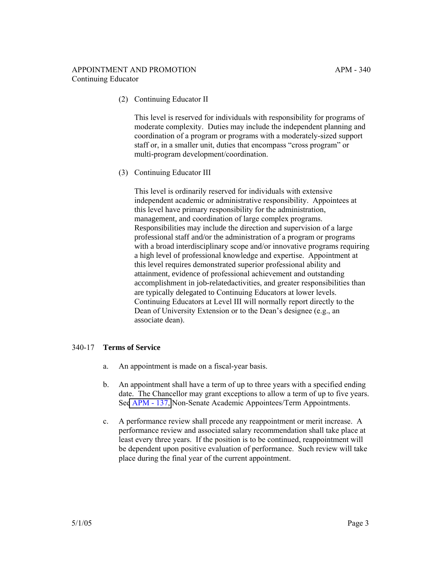# APPOINTMENT AND PROMOTION APM - 340 Continuing Educator

(2) Continuing Educator II

This level is reserved for individuals with responsibility for programs of moderate complexity. Duties may include the independent planning and coordination of a program or programs with a moderately-sized support staff or, in a smaller unit, duties that encompass "cross program" or multi-program development/coordination.

(3) Continuing Educator III

This level is ordinarily reserved for individuals with extensive independent academic or administrative responsibility. Appointees at this level have primary responsibility for the administration, management, and coordination of large complex programs. Responsibilities may include the direction and supervision of a large professional staff and/or the administration of a program or programs with a broad interdisciplinary scope and/or innovative programs requiring a high level of professional knowledge and expertise. Appointment at this level requires demonstrated superior professional ability and attainment, evidence of professional achievement and outstanding accomplishment in job-relatedactivities, and greater responsibilities than are typically delegated to Continuing Educators at lower levels. Continuing Educators at Level III will normally report directly to the Dean of University Extension or to the Dean's designee (e.g., an associate dean).

## 340-17 **Terms of Service**

- a. An appointment is made on a fiscal-year basis.
- b. An appointment shall have a term of up to three years with a specified ending date. The Chancellor may grant exceptions to allow a term of up to five years. Se[e APM - 137,](http://ucop.edu/academic-personnel-programs/_files/apm/apm-137.pdf) Non-Senate Academic Appointees/Term Appointments.
- c. A performance review shall precede any reappointment or merit increase. A performance review and associated salary recommendation shall take place at least every three years. If the position is to be continued, reappointment will be dependent upon positive evaluation of performance. Such review will take place during the final year of the current appointment.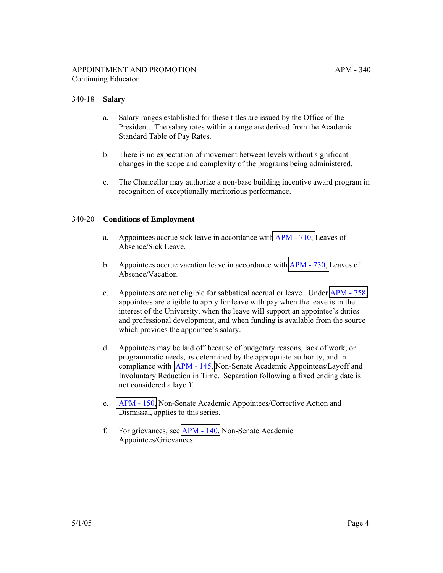#### 340-18 **Salary**

- a. Salary ranges established for these titles are issued by the Office of the President. The salary rates within a range are derived from the Academic Standard Table of Pay Rates.
- b. There is no expectation of movement between levels without significant changes in the scope and complexity of the programs being administered.
- c. The Chancellor may authorize a non-base building incentive award program in recognition of exceptionally meritorious performance.

#### 340-20 **Conditions of Employment**

- a. Appointees accrue sick leave in accordance wit[h APM 710,](http://ucop.edu/academic-personnel-programs/_files/apm/apm-710.pdf) Leaves of Absence/Sick Leave.
- b. Appointees accrue vacation leave in accordance with [APM 730,](http://ucop.edu/academic-personnel-programs/_files/apm/apm-730.pdf) Leaves of Absence/Vacation.
- c. Appointees are not eligible for sabbatical accrual or leave. Under [APM 758,](http://ucop.edu/academic-personnel-programs/_files/apm/apm-758.pdf) appointees are eligible to apply for leave with pay when the leave is in the interest of the University, when the leave will support an appointee's duties and professional development, and when funding is available from the source which provides the appointee's salary.
- d. Appointees may be laid off because of budgetary reasons, lack of work, or programmatic needs, as determined by the appropriate authority, and in compliance with [APM - 145,](http://ucop.edu/academic-personnel-programs/_files/apm/apm-145.pdf) Non-Senate Academic Appointees/Layoff and Involuntary Reduction in Time. Separation following a fixed ending date is not considered a layoff.
- e. [APM 150,](http://ucop.edu/academic-personnel-programs/_files/apm/apm-150.pdf) Non-Senate Academic Appointees/Corrective Action and Dismissal, applies to this series.
- f. For grievances, see [APM 140,](http://ucop.edu/academic-personnel-programs/_files/apm/apm-140.pdf) Non-Senate Academic Appointees/Grievances.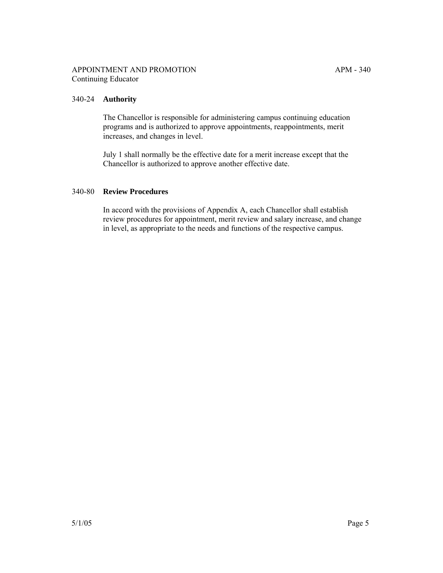# 340-24 **Authority**

The Chancellor is responsible for administering campus continuing education programs and is authorized to approve appointments, reappointments, merit increases, and changes in level.

July 1 shall normally be the effective date for a merit increase except that the Chancellor is authorized to approve another effective date.

#### 340-80 **Review Procedures**

In accord with the provisions of Appendix A, each Chancellor shall establish review procedures for appointment, merit review and salary increase, and change in level, as appropriate to the needs and functions of the respective campus.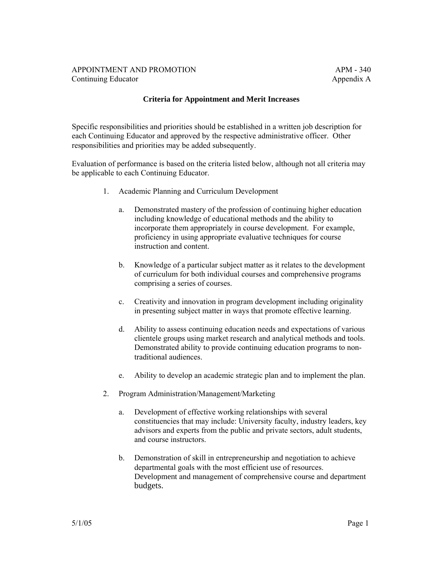# APPOINTMENT AND PROMOTION APM - 340 Continuing Educator **Appendix A**

# **Criteria for Appointment and Merit Increases**

Specific responsibilities and priorities should be established in a written job description for each Continuing Educator and approved by the respective administrative officer. Other responsibilities and priorities may be added subsequently.

Evaluation of performance is based on the criteria listed below, although not all criteria may be applicable to each Continuing Educator.

- 1. Academic Planning and Curriculum Development
	- a. Demonstrated mastery of the profession of continuing higher education including knowledge of educational methods and the ability to incorporate them appropriately in course development. For example, proficiency in using appropriate evaluative techniques for course instruction and content.
	- b. Knowledge of a particular subject matter as it relates to the development of curriculum for both individual courses and comprehensive programs comprising a series of courses.
	- c. Creativity and innovation in program development including originality in presenting subject matter in ways that promote effective learning.
	- d. Ability to assess continuing education needs and expectations of various clientele groups using market research and analytical methods and tools. Demonstrated ability to provide continuing education programs to nontraditional audiences.
	- e. Ability to develop an academic strategic plan and to implement the plan.
- 2. Program Administration/Management/Marketing
	- a. Development of effective working relationships with several constituencies that may include: University faculty, industry leaders, key advisors and experts from the public and private sectors, adult students, and course instructors.
	- b. Demonstration of skill in entrepreneurship and negotiation to achieve departmental goals with the most efficient use of resources. Development and management of comprehensive course and department budgets.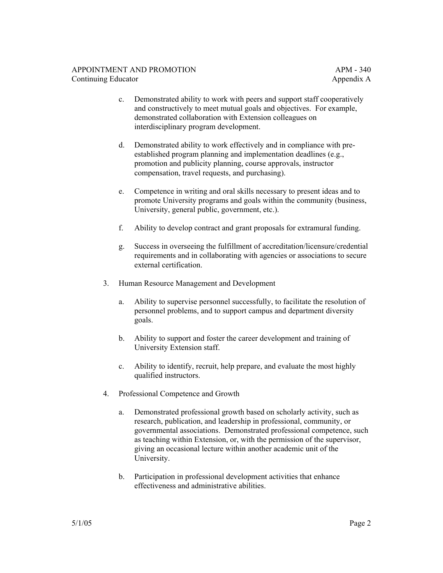- c. Demonstrated ability to work with peers and support staff cooperatively and constructively to meet mutual goals and objectives. For example, demonstrated collaboration with Extension colleagues on interdisciplinary program development.
- d. Demonstrated ability to work effectively and in compliance with preestablished program planning and implementation deadlines (e.g., promotion and publicity planning, course approvals, instructor compensation, travel requests, and purchasing).
- e. Competence in writing and oral skills necessary to present ideas and to promote University programs and goals within the community (business, University, general public, government, etc.).
- f. Ability to develop contract and grant proposals for extramural funding.
- g. Success in overseeing the fulfillment of accreditation/licensure/credential requirements and in collaborating with agencies or associations to secure external certification.
- 3. Human Resource Management and Development
	- a. Ability to supervise personnel successfully, to facilitate the resolution of personnel problems, and to support campus and department diversity goals.
	- b. Ability to support and foster the career development and training of University Extension staff.
	- c. Ability to identify, recruit, help prepare, and evaluate the most highly qualified instructors.
- 4. Professional Competence and Growth
	- a. Demonstrated professional growth based on scholarly activity, such as research, publication, and leadership in professional, community, or governmental associations. Demonstrated professional competence, such as teaching within Extension, or, with the permission of the supervisor, giving an occasional lecture within another academic unit of the University.
	- b. Participation in professional development activities that enhance effectiveness and administrative abilities.